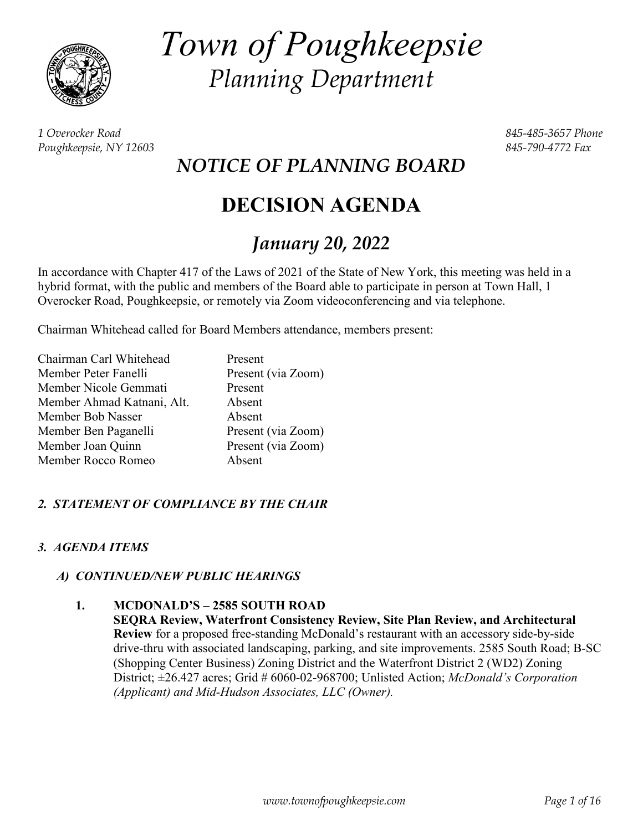

*Town of Poughkeepsie Planning Department*

*1 Overocker Road 845-485-3657 Phone Poughkeepsie, NY 12603 845-790-4772 Fax*

*NOTICE OF PLANNING BOARD*

# **DECISION AGENDA**

# *January 20, 2022*

In accordance with Chapter 417 of the Laws of 2021 of the State of New York, this meeting was held in a hybrid format, with the public and members of the Board able to participate in person at Town Hall, 1 Overocker Road, Poughkeepsie, or remotely via Zoom videoconferencing and via telephone.

Chairman Whitehead called for Board Members attendance, members present:

| Chairman Carl Whitehead    | Present            |
|----------------------------|--------------------|
| Member Peter Fanelli       | Present (via Zoom) |
| Member Nicole Gemmati      | Present            |
| Member Ahmad Katnani, Alt. | Absent             |
| Member Bob Nasser          | Absent             |
| Member Ben Paganelli       | Present (via Zoom) |
| Member Joan Quinn          | Present (via Zoom) |
| Member Rocco Romeo         | Absent             |

# *2. STATEMENT OF COMPLIANCE BY THE CHAIR*

#### *3. AGENDA ITEMS*

#### *A) CONTINUED/NEW PUBLIC HEARINGS*

#### **1. MCDONALD'S – 2585 SOUTH ROAD**

**SEQRA Review, Waterfront Consistency Review, Site Plan Review, and Architectural Review** for a proposed free-standing McDonald's restaurant with an accessory side-by-side drive-thru with associated landscaping, parking, and site improvements. 2585 South Road; B-SC (Shopping Center Business) Zoning District and the Waterfront District 2 (WD2) Zoning District; ±26.427 acres; Grid # 6060-02-968700; Unlisted Action; *McDonald's Corporation (Applicant) and Mid-Hudson Associates, LLC (Owner).*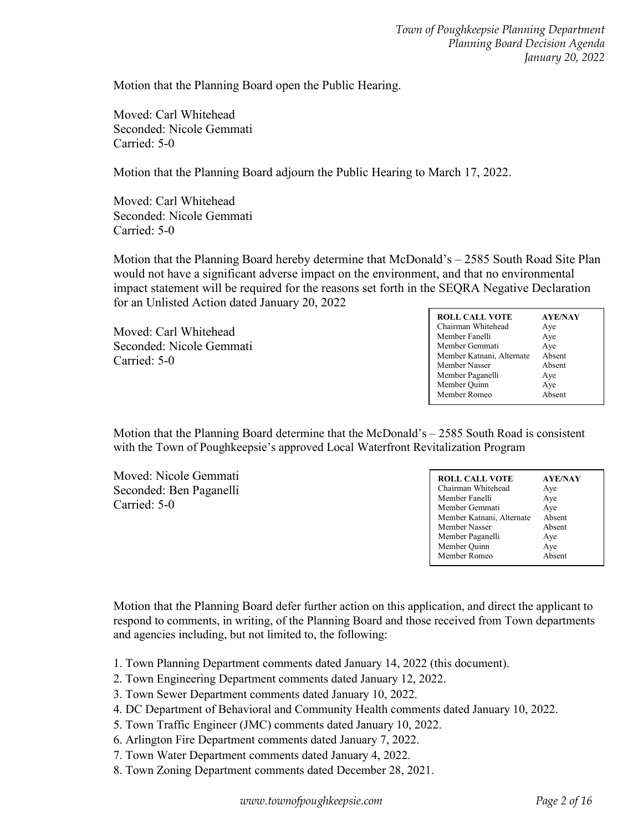Motion that the Planning Board open the Public Hearing.

Moved: Carl Whitehead Seconded: Nicole Gemmati Carried: 5-0

Motion that the Planning Board adjourn the Public Hearing to March 17, 2022.

Moved: Carl Whitehead Seconded: Nicole Gemmati Carried: 5-0

Motion that the Planning Board hereby determine that McDonald's – 2585 South Road Site Plan would not have a significant adverse impact on the environment, and that no environmental impact statement will be required for the reasons set forth in the SEQRA Negative Declaration for an Unlisted Action dated January 20, 2022

Moved: Carl Whitehead Seconded: Nicole Gemmati Carried: 5-0

| <b>ROLL CALL VOTE</b>     | <b>AYE/NAY</b> |
|---------------------------|----------------|
| Chairman Whitehead        | Aye            |
| Member Fanelli            | Aye            |
| Member Gemmati            | Aye            |
| Member Katnani, Alternate | Absent         |
| Member Nasser             | Absent         |
| Member Paganelli          | Aye            |
| Member Quinn              | Aye            |
| Member Romeo              | Absent         |
|                           |                |

Motion that the Planning Board determine that the McDonald's – 2585 South Road is consistent with the Town of Poughkeepsie's approved Local Waterfront Revitalization Program

Moved: Nicole Gemmati Seconded: Ben Paganelli Carried: 5-0

| <b>ROLL CALL VOTE</b>     | <b>AYE/NAY</b> |
|---------------------------|----------------|
| Chairman Whitehead        | Aye            |
| Member Fanelli            | Aye            |
| Member Gemmati            | Aye            |
| Member Katnani, Alternate | Absent         |
| Member Nasser             | Absent         |
| Member Paganelli          | Aye            |
| Member Quinn              | Aye            |
| Member Romeo              | Absent         |

Motion that the Planning Board defer further action on this application, and direct the applicant to respond to comments, in writing, of the Planning Board and those received from Town departments and agencies including, but not limited to, the following:

- 1. Town Planning Department comments dated January 14, 2022 (this document).
- 2. Town Engineering Department comments dated January 12, 2022.
- 3. Town Sewer Department comments dated January 10, 2022.
- 4. DC Department of Behavioral and Community Health comments dated January 10, 2022.
- 5. Town Traffic Engineer (JMC) comments dated January 10, 2022.
- 6. Arlington Fire Department comments dated January 7, 2022.
- 7. Town Water Department comments dated January 4, 2022.
- 8. Town Zoning Department comments dated December 28, 2021.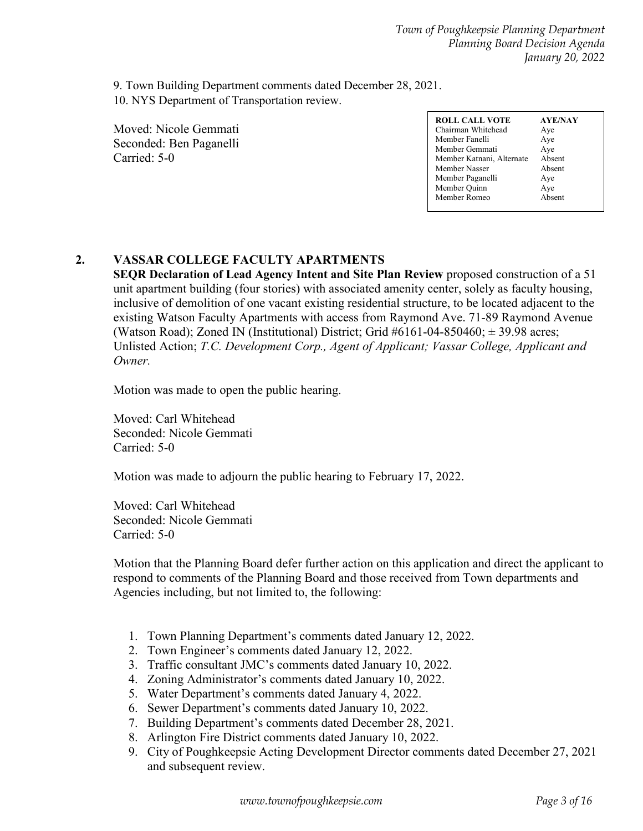9. Town Building Department comments dated December 28, 2021. 10. NYS Department of Transportation review.

Moved: Nicole Gemmati Seconded: Ben Paganelli Carried: 5-0

# **2. VASSAR COLLEGE FACULTY APARTMENTS**

**SEQR Declaration of Lead Agency Intent and Site Plan Review** proposed construction of a 51 unit apartment building (four stories) with associated amenity center, solely as faculty housing, inclusive of demolition of one vacant existing residential structure, to be located adjacent to the existing Watson Faculty Apartments with access from Raymond Ave. 71-89 Raymond Avenue (Watson Road); Zoned IN (Institutional) District; Grid  $#6161-04-850460; \pm 39.98$  acres; Unlisted Action; *T.C. Development Corp., Agent of Applicant; Vassar College, Applicant and Owner.*

Motion was made to open the public hearing.

Moved: Carl Whitehead Seconded: Nicole Gemmati Carried: 5-0

Motion was made to adjourn the public hearing to February 17, 2022.

Moved: Carl Whitehead Seconded: Nicole Gemmati Carried: 5-0

Motion that the Planning Board defer further action on this application and direct the applicant to respond to comments of the Planning Board and those received from Town departments and Agencies including, but not limited to, the following:

- 1. Town Planning Department's comments dated January 12, 2022.
- 2. Town Engineer's comments dated January 12, 2022.
- 3. Traffic consultant JMC's comments dated January 10, 2022.
- 4. Zoning Administrator's comments dated January 10, 2022.
- 5. Water Department's comments dated January 4, 2022.
- 6. Sewer Department's comments dated January 10, 2022.
- 7. Building Department's comments dated December 28, 2021.
- 8. Arlington Fire District comments dated January 10, 2022.
- 9. City of Poughkeepsie Acting Development Director comments dated December 27, 2021 and subsequent review.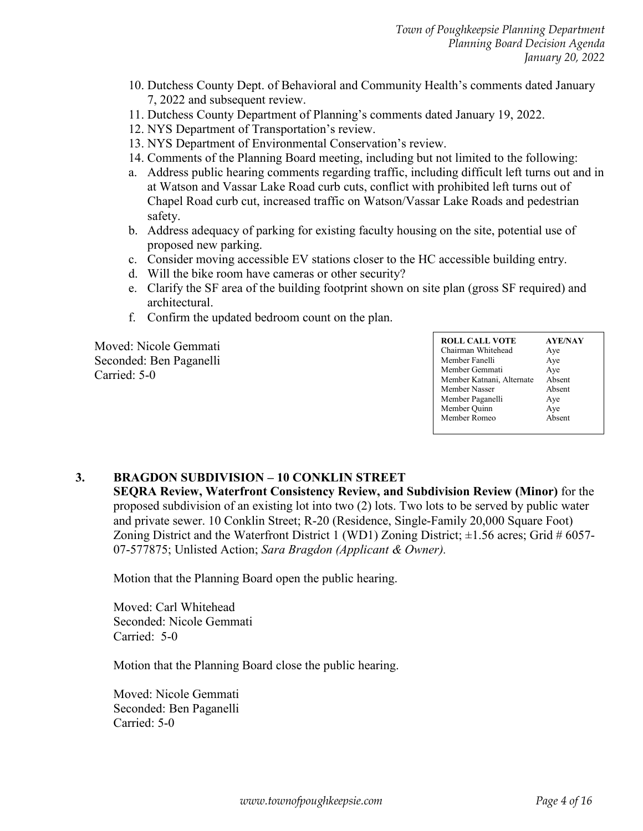- 10. Dutchess County Dept. of Behavioral and Community Health's comments dated January 7, 2022 and subsequent review.
- 11. Dutchess County Department of Planning's comments dated January 19, 2022.
- 12. NYS Department of Transportation's review.
- 13. NYS Department of Environmental Conservation's review.
- 14. Comments of the Planning Board meeting, including but not limited to the following:
- a. Address public hearing comments regarding traffic, including difficult left turns out and in at Watson and Vassar Lake Road curb cuts, conflict with prohibited left turns out of Chapel Road curb cut, increased traffic on Watson/Vassar Lake Roads and pedestrian safety.
- b. Address adequacy of parking for existing faculty housing on the site, potential use of proposed new parking.
- c. Consider moving accessible EV stations closer to the HC accessible building entry.
- d. Will the bike room have cameras or other security?
- e. Clarify the SF area of the building footprint shown on site plan (gross SF required) and architectural.
- f. Confirm the updated bedroom count on the plan.

Moved: Nicole Gemmati Seconded: Ben Paganelli Carried: 5-0

| <b>ROLL CALL VOTE</b>     | <b>AYE/NAY</b> |
|---------------------------|----------------|
| Chairman Whitehead        | Aye            |
| Member Fanelli            | Aye            |
| Member Gemmati            | Aye            |
| Member Katnani, Alternate | Absent         |
| Member Nasser             | Absent         |
| Member Paganelli          | Aye            |
| Member Quinn              | Aye            |
| Member Romeo              | Absent         |
|                           |                |

#### **3. BRAGDON SUBDIVISION – 10 CONKLIN STREET**

**SEQRA Review, Waterfront Consistency Review, and Subdivision Review (Minor)** for the proposed subdivision of an existing lot into two (2) lots. Two lots to be served by public water and private sewer. 10 Conklin Street; R-20 (Residence, Single-Family 20,000 Square Foot) Zoning District and the Waterfront District 1 (WD1) Zoning District;  $\pm 1.56$  acres; Grid # 6057-07-577875; Unlisted Action; *Sara Bragdon (Applicant & Owner).*

Motion that the Planning Board open the public hearing.

Moved: Carl Whitehead Seconded: Nicole Gemmati Carried: 5-0

Motion that the Planning Board close the public hearing.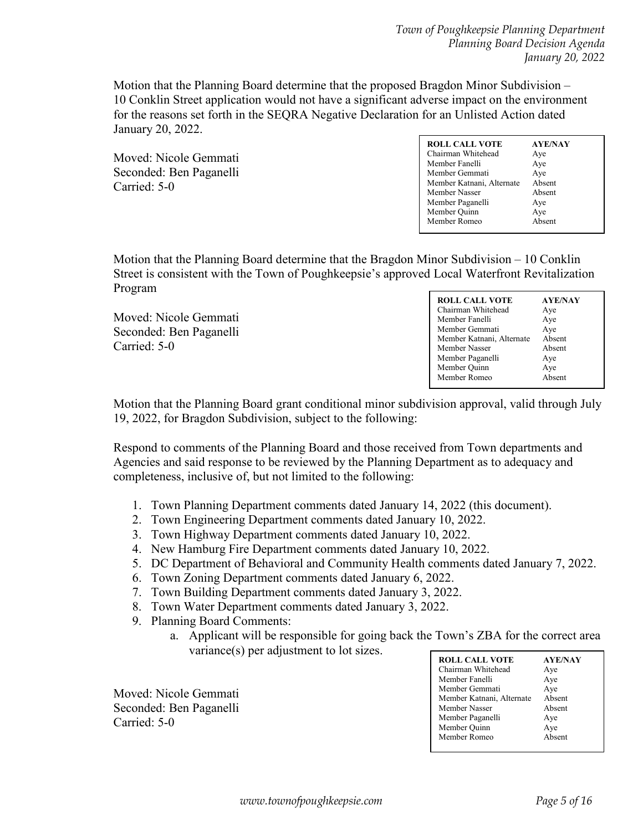Motion that the Planning Board determine that the proposed Bragdon Minor Subdivision – 10 Conklin Street application would not have a significant adverse impact on the environment for the reasons set forth in the SEQRA Negative Declaration for an Unlisted Action dated January 20, 2022.

Moved: Nicole Gemmati Seconded: Ben Paganelli Carried: 5-0

| <b>ROLL CALL VOTE</b><br>Chairman Whitehead<br>Member Fanelli<br>Member Gemmati<br>Member Katnani, Alternate<br>Member Nasser<br>Member Paganelli<br>Member Quinn | <b>AYE/NAY</b><br>Aye<br>Aye<br>Aye<br>Absent<br>Absent<br>Aye<br>Aye |
|-------------------------------------------------------------------------------------------------------------------------------------------------------------------|-----------------------------------------------------------------------|
| Member Romeo                                                                                                                                                      | Ahsent                                                                |
|                                                                                                                                                                   |                                                                       |

Motion that the Planning Board determine that the Bragdon Minor Subdivision – 10 Conklin Street is consistent with the Town of Poughkeepsie's approved Local Waterfront Revitalization Program

| Moved: Nicole Gemmati   |
|-------------------------|
| Seconded: Ben Paganelli |
| Carried: 5-0            |

| <b>ROLL CALL VOTE</b><br>Chairman Whitehead<br>Member Fanelli<br>Member Gemmati<br>Member Katnani, Alternate<br>Member Nasser<br>Member Paganelli | <b>AYE/NAY</b><br>Aye<br>Aye<br>Aye<br>Absent<br>Absent<br>Aye |
|---------------------------------------------------------------------------------------------------------------------------------------------------|----------------------------------------------------------------|
| Member Quinn                                                                                                                                      | Aye                                                            |
| Member Romeo                                                                                                                                      | Absent                                                         |

Motion that the Planning Board grant conditional minor subdivision approval, valid through July 19, 2022, for Bragdon Subdivision, subject to the following:

Respond to comments of the Planning Board and those received from Town departments and Agencies and said response to be reviewed by the Planning Department as to adequacy and completeness, inclusive of, but not limited to the following:

- 1. Town Planning Department comments dated January 14, 2022 (this document).
- 2. Town Engineering Department comments dated January 10, 2022.
- 3. Town Highway Department comments dated January 10, 2022.
- 4. New Hamburg Fire Department comments dated January 10, 2022.
- 5. DC Department of Behavioral and Community Health comments dated January 7, 2022.
- 6. Town Zoning Department comments dated January 6, 2022.
- 7. Town Building Department comments dated January 3, 2022.
- 8. Town Water Department comments dated January 3, 2022.
- 9. Planning Board Comments:
	- a. Applicant will be responsible for going back the Town's ZBA for the correct area variance(s) per adjustment to lot sizes.

| <b>ROLL CALL VOTE</b>     | <b>AYE/NAY</b> |
|---------------------------|----------------|
| Chairman Whitehead        | Aye            |
| Member Fanelli            | Aye            |
| Member Gemmati            | Aye            |
| Member Katnani, Alternate | Absent         |
| Member Nasser             | Absent         |
| Member Paganelli          | Aye            |
| Member Quinn              | Aye            |
| Member Romeo              | Absent         |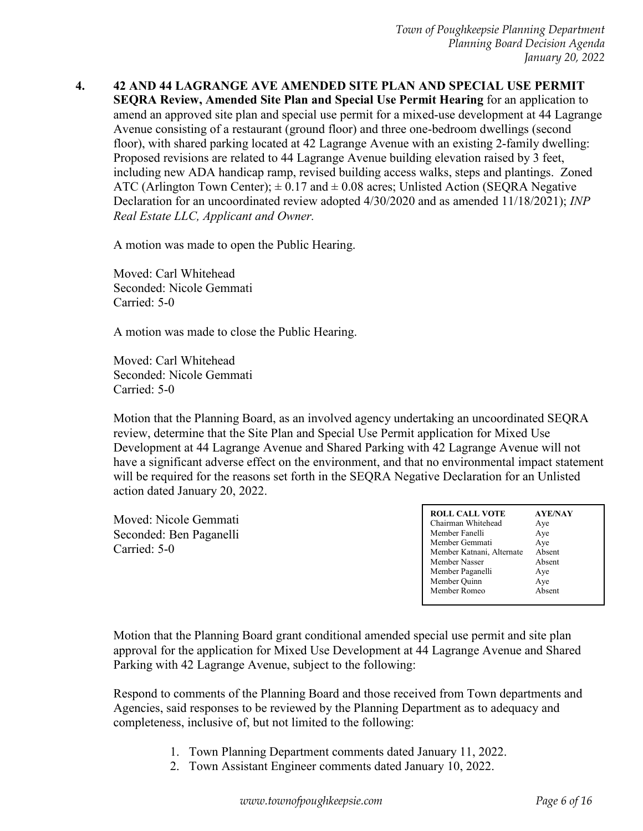**4. 42 AND 44 LAGRANGE AVE AMENDED SITE PLAN AND SPECIAL USE PERMIT SEQRA Review, Amended Site Plan and Special Use Permit Hearing** for an application to amend an approved site plan and special use permit for a mixed-use development at 44 Lagrange Avenue consisting of a restaurant (ground floor) and three one-bedroom dwellings (second floor), with shared parking located at 42 Lagrange Avenue with an existing 2-family dwelling: Proposed revisions are related to 44 Lagrange Avenue building elevation raised by 3 feet, including new ADA handicap ramp, revised building access walks, steps and plantings. Zoned ATC (Arlington Town Center);  $\pm 0.17$  and  $\pm 0.08$  acres; Unlisted Action (SEQRA Negative Declaration for an uncoordinated review adopted 4/30/2020 and as amended 11/18/2021); *INP Real Estate LLC, Applicant and Owner.*

A motion was made to open the Public Hearing.

Moved: Carl Whitehead Seconded: Nicole Gemmati Carried: 5-0

A motion was made to close the Public Hearing.

Moved: Carl Whitehead Seconded: Nicole Gemmati Carried: 5-0

Motion that the Planning Board, as an involved agency undertaking an uncoordinated SEQRA review, determine that the Site Plan and Special Use Permit application for Mixed Use Development at 44 Lagrange Avenue and Shared Parking with 42 Lagrange Avenue will not have a significant adverse effect on the environment, and that no environmental impact statement will be required for the reasons set forth in the SEQRA Negative Declaration for an Unlisted action dated January 20, 2022.

Moved: Nicole Gemmati Seconded: Ben Paganelli Carried: 5-0

| <b>ROLL CALL VOTE</b>     | <b>AYE/NAY</b> |
|---------------------------|----------------|
| Chairman Whitehead        | Aye            |
| Member Fanelli            | Aye            |
| Member Gemmati            | Aye            |
| Member Katnani, Alternate | Absent         |
| Member Nasser             | Absent         |
| Member Paganelli          | Aye            |
| Member Quinn              | Aye            |
| Member Romeo              | Absent         |
|                           |                |

Motion that the Planning Board grant conditional amended special use permit and site plan approval for the application for Mixed Use Development at 44 Lagrange Avenue and Shared Parking with 42 Lagrange Avenue, subject to the following:

Respond to comments of the Planning Board and those received from Town departments and Agencies, said responses to be reviewed by the Planning Department as to adequacy and completeness, inclusive of, but not limited to the following:

- 1. Town Planning Department comments dated January 11, 2022.
- 2. Town Assistant Engineer comments dated January 10, 2022.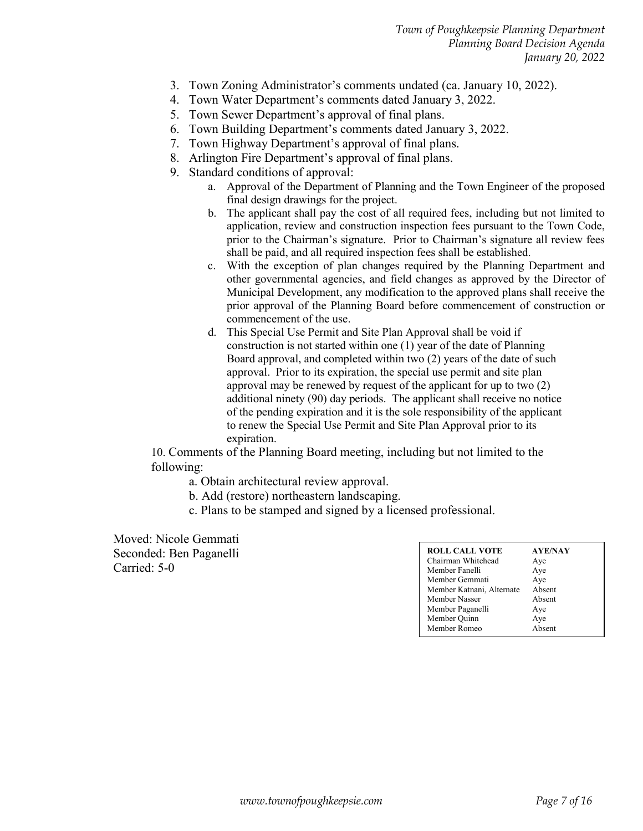- 3. Town Zoning Administrator's comments undated (ca. January 10, 2022).
- 4. Town Water Department's comments dated January 3, 2022.
- 5. Town Sewer Department's approval of final plans.
- 6. Town Building Department's comments dated January 3, 2022.
- 7. Town Highway Department's approval of final plans.
- 8. Arlington Fire Department's approval of final plans.
- 9. Standard conditions of approval:
	- a. Approval of the Department of Planning and the Town Engineer of the proposed final design drawings for the project.
	- b. The applicant shall pay the cost of all required fees, including but not limited to application, review and construction inspection fees pursuant to the Town Code, prior to the Chairman's signature. Prior to Chairman's signature all review fees shall be paid, and all required inspection fees shall be established.
	- c. With the exception of plan changes required by the Planning Department and other governmental agencies, and field changes as approved by the Director of Municipal Development, any modification to the approved plans shall receive the prior approval of the Planning Board before commencement of construction or commencement of the use.
	- d. This Special Use Permit and Site Plan Approval shall be void if construction is not started within one (1) year of the date of Planning Board approval, and completed within two (2) years of the date of such approval. Prior to its expiration, the special use permit and site plan approval may be renewed by request of the applicant for up to two (2) additional ninety (90) day periods. The applicant shall receive no notice of the pending expiration and it is the sole responsibility of the applicant to renew the Special Use Permit and Site Plan Approval prior to its expiration.

10. Comments of the Planning Board meeting, including but not limited to the following:

- a. Obtain architectural review approval.
- b. Add (restore) northeastern landscaping.
- c. Plans to be stamped and signed by a licensed professional.

| <b>ROLL CALL VOTE</b>     | <b>AYE/NAY</b> |
|---------------------------|----------------|
| Chairman Whitehead        | Aye            |
| Member Fanelli            | Aye            |
| Member Gemmati            | Aye            |
| Member Katnani, Alternate | Absent         |
| Member Nasser             | Absent         |
| Member Paganelli          | Aye            |
|                           |                |
| Member Quinn              | Aye            |
| Member Romeo              | Absent         |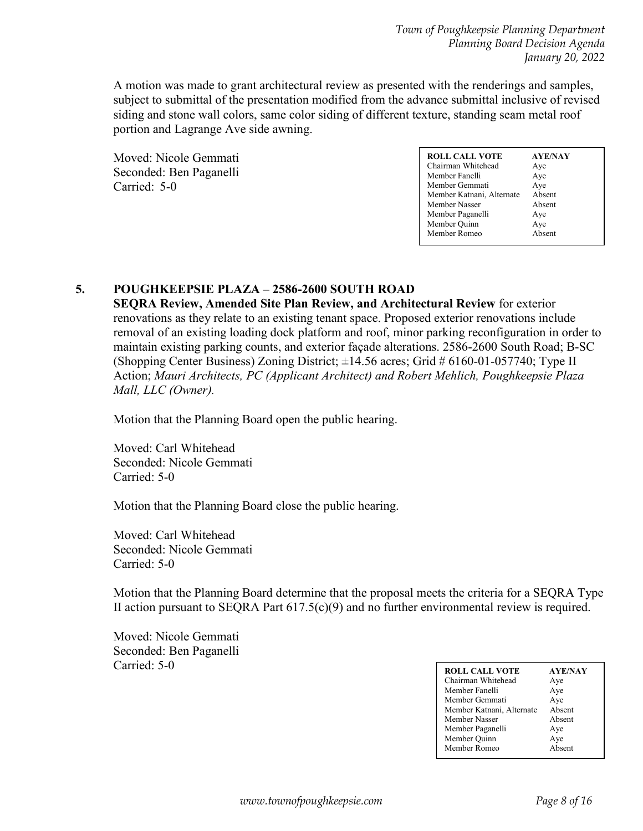A motion was made to grant architectural review as presented with the renderings and samples, subject to submittal of the presentation modified from the advance submittal inclusive of revised siding and stone wall colors, same color siding of different texture, standing seam metal roof portion and Lagrange Ave side awning.

Moved: Nicole Gemmati Seconded: Ben Paganelli Carried: 5-0

| <b>ROLL CALL VOTE</b>     | <b>AYE/NAY</b> |
|---------------------------|----------------|
| Chairman Whitehead        | Aye            |
| Member Fanelli            | Aye            |
| Member Gemmati            | Aye            |
| Member Katnani, Alternate | Absent         |
| Member Nasser             | Absent         |
| Member Paganelli          | Aye            |
| Member Quinn              | Aye            |
| Member Romeo              | Absent         |

# **5. POUGHKEEPSIE PLAZA – 2586-2600 SOUTH ROAD**

**SEQRA Review, Amended Site Plan Review, and Architectural Review** for exterior renovations as they relate to an existing tenant space. Proposed exterior renovations include removal of an existing loading dock platform and roof, minor parking reconfiguration in order to maintain existing parking counts, and exterior façade alterations. 2586-2600 South Road; B-SC (Shopping Center Business) Zoning District;  $\pm 14.56$  acres; Grid # 6160-01-057740; Type II Action; *Mauri Architects, PC (Applicant Architect) and Robert Mehlich, Poughkeepsie Plaza Mall, LLC (Owner).*

Motion that the Planning Board open the public hearing.

Moved: Carl Whitehead Seconded: Nicole Gemmati Carried: 5-0

Motion that the Planning Board close the public hearing.

Moved: Carl Whitehead Seconded: Nicole Gemmati Carried: 5-0

Motion that the Planning Board determine that the proposal meets the criteria for a SEQRA Type II action pursuant to SEQRA Part  $617.5(c)(9)$  and no further environmental review is required.

Moved: Nicole Gemmati Seconded: Ben Paganelli

| Carried: 5-0 | <b>ROLL CALL VOTE</b>     | <b>AYE/NAY</b> |
|--------------|---------------------------|----------------|
|              | Chairman Whitehead        |                |
|              |                           | Aye            |
|              | Member Fanelli            | Aye            |
|              | Member Gemmati            | Aye            |
|              | Member Katnani, Alternate | Absent         |
|              | Member Nasser             | Absent         |
|              | Member Paganelli          | Aye            |
|              | Member Quinn              | Aye            |
|              | Member Romeo              | Absent         |
|              |                           |                |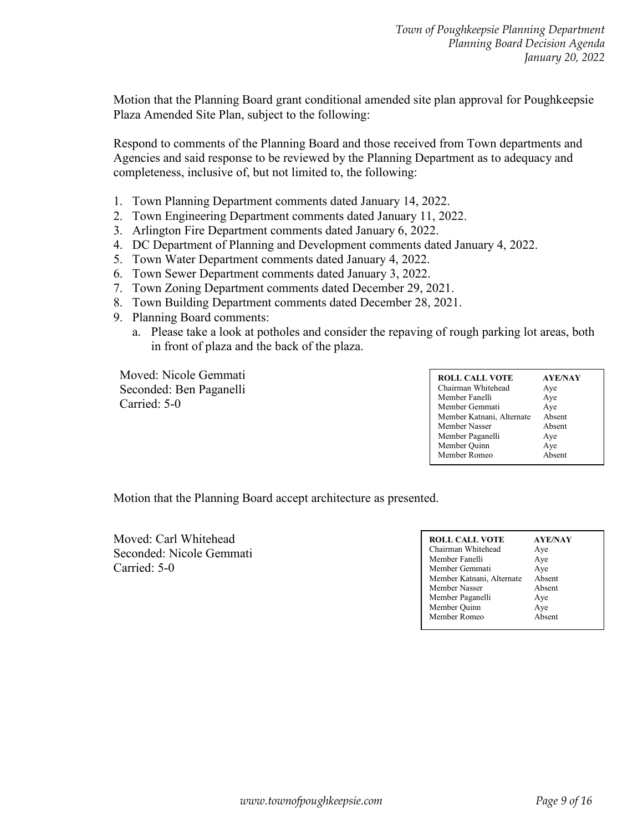Motion that the Planning Board grant conditional amended site plan approval for Poughkeepsie Plaza Amended Site Plan, subject to the following:

Respond to comments of the Planning Board and those received from Town departments and Agencies and said response to be reviewed by the Planning Department as to adequacy and completeness, inclusive of, but not limited to, the following:

- 1. Town Planning Department comments dated January 14, 2022.
- 2. Town Engineering Department comments dated January 11, 2022.
- 3. Arlington Fire Department comments dated January 6, 2022.
- 4. DC Department of Planning and Development comments dated January 4, 2022.
- 5. Town Water Department comments dated January 4, 2022.
- 6. Town Sewer Department comments dated January 3, 2022.
- 7. Town Zoning Department comments dated December 29, 2021.
- 8. Town Building Department comments dated December 28, 2021.
- 9. Planning Board comments:
	- a. Please take a look at potholes and consider the repaving of rough parking lot areas, both in front of plaza and the back of the plaza.

Moved: Nicole Gemmati Seconded: Ben Paganelli Carried: 5-0

| <b>ROLL CALL VOTE</b><br>Chairman Whitehead<br>Member Fanelli<br>Member Gemmati<br>Member Katnani, Alternate<br>Member Nasser<br>Member Paganelli<br>Member Quinn | <b>AYE/NAY</b><br>Aye<br>Aye<br>Aye<br>Absent<br>Absent<br>Aye<br>Aye |
|-------------------------------------------------------------------------------------------------------------------------------------------------------------------|-----------------------------------------------------------------------|
| Member Romeo                                                                                                                                                      | Absent                                                                |
|                                                                                                                                                                   |                                                                       |

Motion that the Planning Board accept architecture as presented.

Moved: Carl Whitehead Seconded: Nicole Gemmati Carried: 5-0

| <b>ROLL CALL VOTE</b>     | <b>AYE/NAY</b> |
|---------------------------|----------------|
| Chairman Whitehead        | Aye            |
| Member Fanelli            | Aye            |
| Member Gemmati            | Aye            |
| Member Katnani, Alternate | Absent         |
| Member Nasser             | Absent         |
| Member Paganelli          | Aye            |
| Member Quinn              | Aye            |
| Member Romeo              | Absent         |
|                           |                |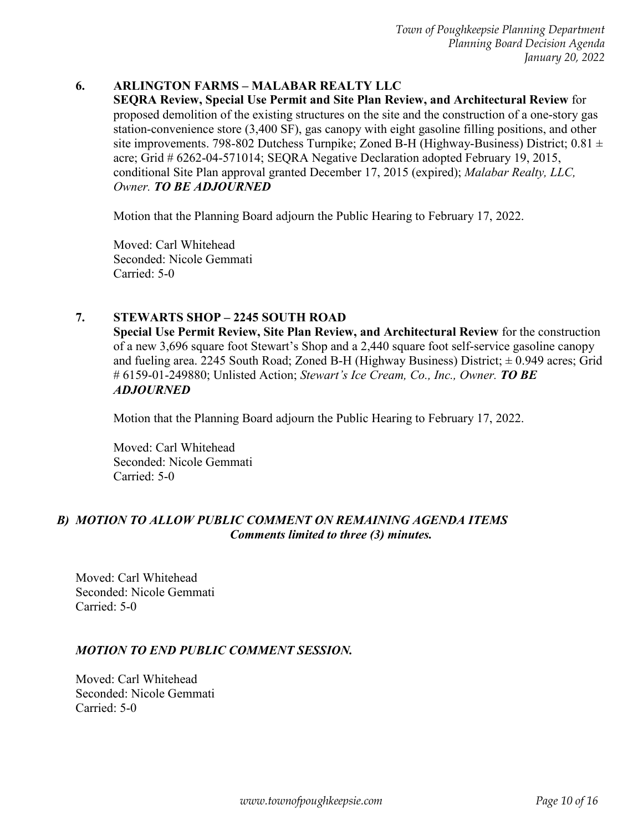#### **6. ARLINGTON FARMS – MALABAR REALTY LLC**

**SEQRA Review, Special Use Permit and Site Plan Review, and Architectural Review** for proposed demolition of the existing structures on the site and the construction of a one-story gas station-convenience store (3,400 SF), gas canopy with eight gasoline filling positions, and other site improvements. 798-802 Dutchess Turnpike; Zoned B-H (Highway-Business) District; 0.81  $\pm$ acre; Grid # 6262-04-571014; SEQRA Negative Declaration adopted February 19, 2015, conditional Site Plan approval granted December 17, 2015 (expired); *Malabar Realty, LLC, Owner. TO BE ADJOURNED*

Motion that the Planning Board adjourn the Public Hearing to February 17, 2022.

Moved: Carl Whitehead Seconded: Nicole Gemmati Carried: 5-0

#### **7. STEWARTS SHOP – 2245 SOUTH ROAD**

**Special Use Permit Review, Site Plan Review, and Architectural Review** for the construction of a new 3,696 square foot Stewart's Shop and a 2,440 square foot self-service gasoline canopy and fueling area. 2245 South Road; Zoned B-H (Highway Business) District;  $\pm$  0.949 acres; Grid # 6159-01-249880; Unlisted Action; *Stewart's Ice Cream, Co., Inc., Owner. TO BE ADJOURNED*

Motion that the Planning Board adjourn the Public Hearing to February 17, 2022.

Moved: Carl Whitehead Seconded: Nicole Gemmati Carried: 5-0

#### *B) MOTION TO ALLOW PUBLIC COMMENT ON REMAINING AGENDA ITEMS Comments limited to three (3) minutes.*

Moved: Carl Whitehead Seconded: Nicole Gemmati Carried: 5-0

#### *MOTION TO END PUBLIC COMMENT SESSION.*

Moved: Carl Whitehead Seconded: Nicole Gemmati Carried: 5-0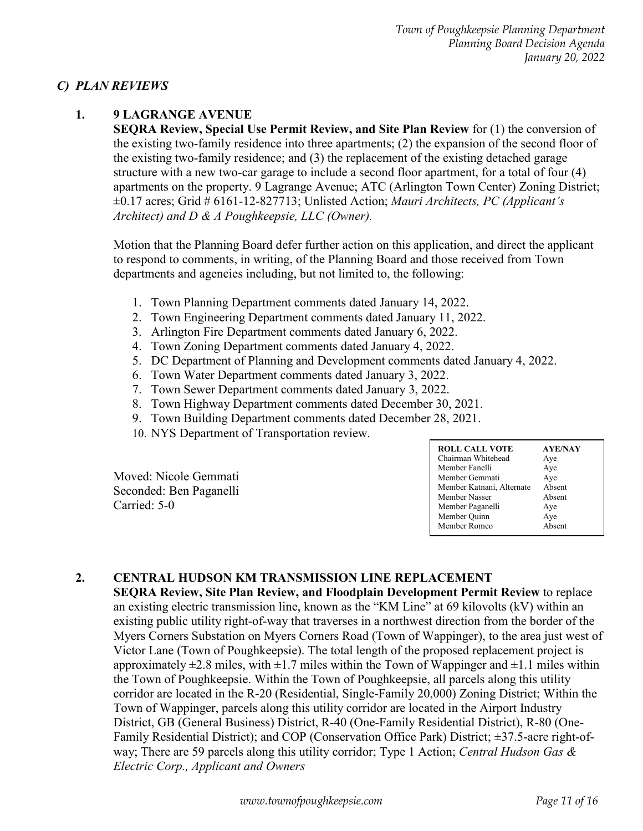#### *C) PLAN REVIEWS*

#### **1. 9 LAGRANGE AVENUE**

**SEQRA Review, Special Use Permit Review, and Site Plan Review** for (1) the conversion of the existing two-family residence into three apartments; (2) the expansion of the second floor of the existing two-family residence; and (3) the replacement of the existing detached garage structure with a new two-car garage to include a second floor apartment, for a total of four (4) apartments on the property. 9 Lagrange Avenue; ATC (Arlington Town Center) Zoning District; ±0.17 acres; Grid # 6161-12-827713; Unlisted Action; *Mauri Architects, PC (Applicant's Architect) and D & A Poughkeepsie, LLC (Owner).*

Motion that the Planning Board defer further action on this application, and direct the applicant to respond to comments, in writing, of the Planning Board and those received from Town departments and agencies including, but not limited to, the following:

- 1. Town Planning Department comments dated January 14, 2022.
- 2. Town Engineering Department comments dated January 11, 2022.
- 3. Arlington Fire Department comments dated January 6, 2022.
- 4. Town Zoning Department comments dated January 4, 2022.
- 5. DC Department of Planning and Development comments dated January 4, 2022.
- 6. Town Water Department comments dated January 3, 2022.
- 7. Town Sewer Department comments dated January 3, 2022.
- 8. Town Highway Department comments dated December 30, 2021.
- 9. Town Building Department comments dated December 28, 2021.
- 10. NYS Department of Transportation review.

Moved: Nicole Gemmati Seconded: Ben Paganelli Carried: 5-0

| <b>ROLL CALL VOTE</b>     | <b>AYE/NAY</b> |
|---------------------------|----------------|
| Chairman Whitehead        | Aye            |
| Member Fanelli            | Aye            |
| Member Gemmati            | Aye            |
| Member Katnani, Alternate | Absent         |
| Member Nasser             | Absent         |
| Member Paganelli          | Aye            |
| Member Quinn              | Aye            |
| Member Romeo              | Absent         |
|                           |                |

#### **2. CENTRAL HUDSON KM TRANSMISSION LINE REPLACEMENT**

**SEQRA Review, Site Plan Review, and Floodplain Development Permit Review** to replace an existing electric transmission line, known as the "KM Line" at 69 kilovolts (kV) within an existing public utility right-of-way that traverses in a northwest direction from the border of the Myers Corners Substation on Myers Corners Road (Town of Wappinger), to the area just west of Victor Lane (Town of Poughkeepsie). The total length of the proposed replacement project is approximately  $\pm 2.8$  miles, with  $\pm 1.7$  miles within the Town of Wappinger and  $\pm 1.1$  miles within the Town of Poughkeepsie. Within the Town of Poughkeepsie, all parcels along this utility corridor are located in the R-20 (Residential, Single-Family 20,000) Zoning District; Within the Town of Wappinger, parcels along this utility corridor are located in the Airport Industry District, GB (General Business) District, R-40 (One-Family Residential District), R-80 (One-Family Residential District); and COP (Conservation Office Park) District; ±37.5-acre right-ofway; There are 59 parcels along this utility corridor; Type 1 Action; *Central Hudson Gas & Electric Corp., Applicant and Owners*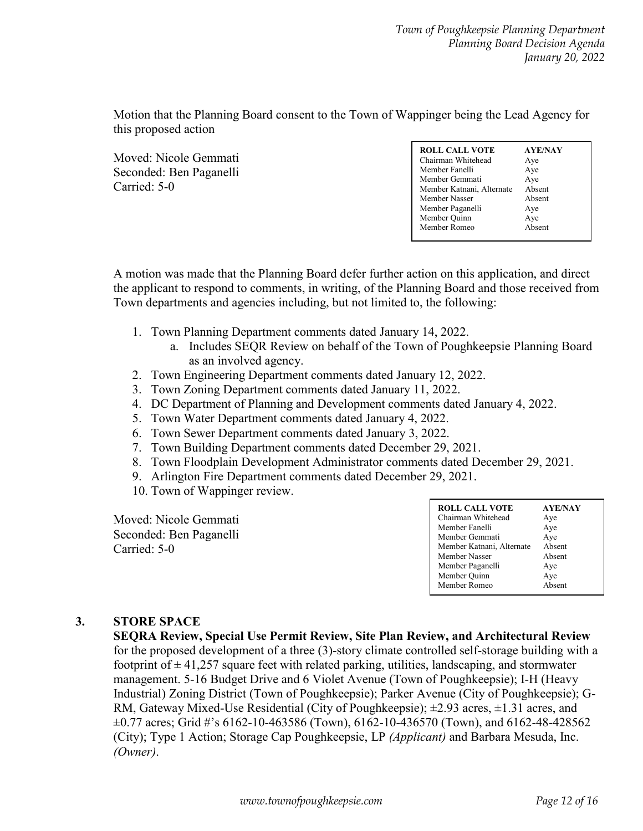Motion that the Planning Board consent to the Town of Wappinger being the Lead Agency for this proposed action

Moved: Nicole Gemmati Seconded: Ben Paganelli Carried: 5-0

| <b>ROLL CALL VOTE</b>     | <b>AYE/NAY</b> |
|---------------------------|----------------|
| Chairman Whitehead        | Aye            |
| Member Fanelli            | Aye            |
| Member Gemmati            | Aye            |
| Member Katnani, Alternate | Absent         |
| Member Nasser             | Absent         |
| Member Paganelli          | Aye            |
| Member Quinn              | Aye            |
| Member Romeo              | Absent         |

A motion was made that the Planning Board defer further action on this application, and direct the applicant to respond to comments, in writing, of the Planning Board and those received from Town departments and agencies including, but not limited to, the following:

- 1. Town Planning Department comments dated January 14, 2022.
	- a. Includes SEQR Review on behalf of the Town of Poughkeepsie Planning Board as an involved agency.
- 2. Town Engineering Department comments dated January 12, 2022.
- 3. Town Zoning Department comments dated January 11, 2022.
- 4. DC Department of Planning and Development comments dated January 4, 2022.
- 5. Town Water Department comments dated January 4, 2022.
- 6. Town Sewer Department comments dated January 3, 2022.
- 7. Town Building Department comments dated December 29, 2021.
- 8. Town Floodplain Development Administrator comments dated December 29, 2021.
- 9. Arlington Fire Department comments dated December 29, 2021.
- 10. Town of Wappinger review.

Moved: Nicole Gemmati Seconded: Ben Paganelli Carried: 5-0

| <b>ROLL CALL VOTE</b>     | <b>AYE/NAY</b> |
|---------------------------|----------------|
| Chairman Whitehead        | Aye            |
| Member Fanelli            | Aye            |
| Member Gemmati            | Aye            |
| Member Katnani, Alternate | Absent         |
| Member Nasser             | Absent         |
| Member Paganelli          | Aye            |
| Member Quinn              | Aye            |
| Member Romeo              | Absent         |

#### **3. STORE SPACE**

**SEQRA Review, Special Use Permit Review, Site Plan Review, and Architectural Review**  for the proposed development of a three (3)-story climate controlled self-storage building with a footprint of  $\pm$  41,257 square feet with related parking, utilities, landscaping, and stormwater management. 5-16 Budget Drive and 6 Violet Avenue (Town of Poughkeepsie); I-H (Heavy Industrial) Zoning District (Town of Poughkeepsie); Parker Avenue (City of Poughkeepsie); G-RM, Gateway Mixed-Use Residential (City of Poughkeepsie);  $\pm 2.93$  acres,  $\pm 1.31$  acres, and  $\pm 0.77$  acres; Grid #'s 6162-10-463586 (Town), 6162-10-436570 (Town), and 6162-48-428562 (City); Type 1 Action; Storage Cap Poughkeepsie, LP *(Applicant)* and Barbara Mesuda, Inc. *(Owner)*.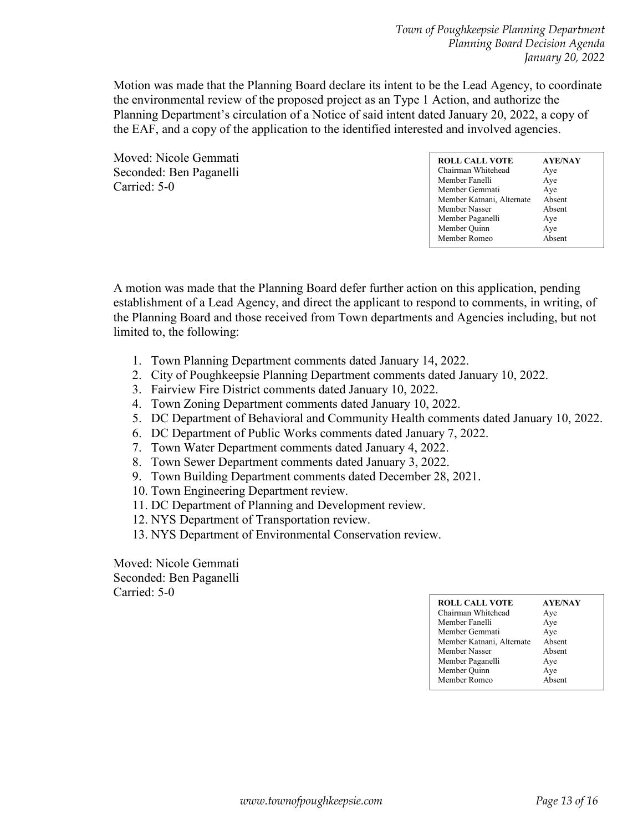Motion was made that the Planning Board declare its intent to be the Lead Agency, to coordinate the environmental review of the proposed project as an Type 1 Action, and authorize the Planning Department's circulation of a Notice of said intent dated January 20, 2022, a copy of the EAF, and a copy of the application to the identified interested and involved agencies.

Moved: Nicole Gemmati Seconded: Ben Paganelli Carried: 5-0

A motion was made that the Planning Board defer further action on this application, pending establishment of a Lead Agency, and direct the applicant to respond to comments, in writing, of the Planning Board and those received from Town departments and Agencies including, but not limited to, the following:

- 1. Town Planning Department comments dated January 14, 2022.
- 2. City of Poughkeepsie Planning Department comments dated January 10, 2022.
- 3. Fairview Fire District comments dated January 10, 2022.
- 4. Town Zoning Department comments dated January 10, 2022.
- 5. DC Department of Behavioral and Community Health comments dated January 10, 2022.
- 6. DC Department of Public Works comments dated January 7, 2022.
- 7. Town Water Department comments dated January 4, 2022.
- 8. Town Sewer Department comments dated January 3, 2022.
- 9. Town Building Department comments dated December 28, 2021.
- 10. Town Engineering Department review.
- 11. DC Department of Planning and Development review.
- 12. NYS Department of Transportation review.
- 13. NYS Department of Environmental Conservation review.

| <b>ROLL CALL VOTE</b><br>Chairman Whitehead<br>Member Fanelli<br>Member Gemmati<br>Member Katnani, Alternate<br>Member Nasser<br>Member Paganelli | <b>AYE/NAY</b><br>Aye<br>Aye<br>Aye<br>Absent<br>Absent<br>Aye |
|---------------------------------------------------------------------------------------------------------------------------------------------------|----------------------------------------------------------------|
|                                                                                                                                                   |                                                                |
|                                                                                                                                                   |                                                                |
| Member Quinn                                                                                                                                      | Aye                                                            |
| Member Romeo                                                                                                                                      | Absent                                                         |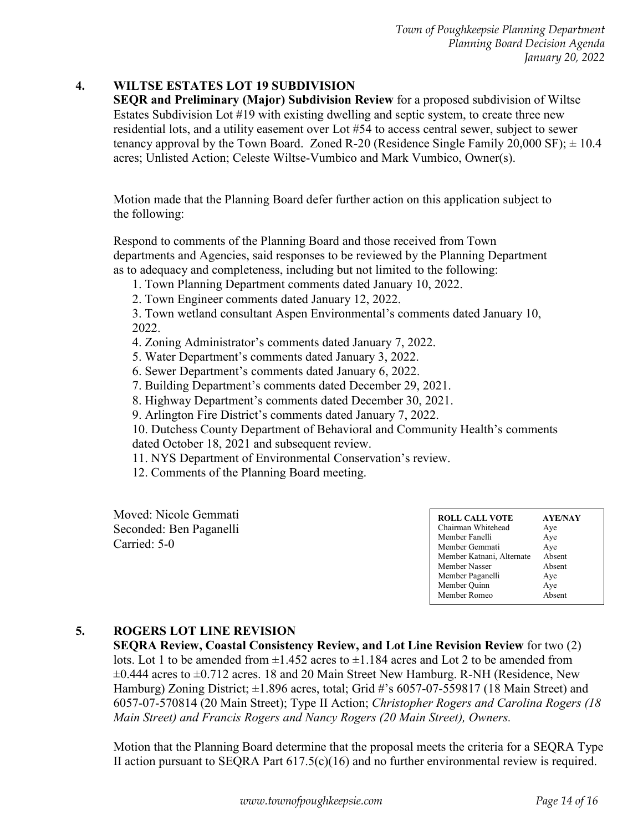#### **4. WILTSE ESTATES LOT 19 SUBDIVISION**

**SEQR and Preliminary (Major) Subdivision Review** for a proposed subdivision of Wiltse Estates Subdivision Lot #19 with existing dwelling and septic system, to create three new residential lots, and a utility easement over Lot #54 to access central sewer, subject to sewer tenancy approval by the Town Board. Zoned R-20 (Residence Single Family 20,000 SF);  $\pm$  10.4 acres; Unlisted Action; Celeste Wiltse-Vumbico and Mark Vumbico, Owner(s).

Motion made that the Planning Board defer further action on this application subject to the following:

Respond to comments of the Planning Board and those received from Town departments and Agencies, said responses to be reviewed by the Planning Department as to adequacy and completeness, including but not limited to the following:

- 1. Town Planning Department comments dated January 10, 2022.
- 2. Town Engineer comments dated January 12, 2022.

3. Town wetland consultant Aspen Environmental's comments dated January 10, 2022.

- 4. Zoning Administrator's comments dated January 7, 2022.
- 5. Water Department's comments dated January 3, 2022.
- 6. Sewer Department's comments dated January 6, 2022.
- 7. Building Department's comments dated December 29, 2021.
- 8. Highway Department's comments dated December 30, 2021.
- 9. Arlington Fire District's comments dated January 7, 2022.

10. Dutchess County Department of Behavioral and Community Health's comments dated October 18, 2021 and subsequent review.

- 11. NYS Department of Environmental Conservation's review.
- 12. Comments of the Planning Board meeting.

Moved: Nicole Gemmati Seconded: Ben Paganelli Carried: 5-0

#### **5. ROGERS LOT LINE REVISION**

**SEQRA Review, Coastal Consistency Review, and Lot Line Revision Review** for two (2) lots. Lot 1 to be amended from  $\pm 1.452$  acres to  $\pm 1.184$  acres and Lot 2 to be amended from ±0.444 acres to ±0.712 acres. 18 and 20 Main Street New Hamburg. R-NH (Residence, New Hamburg) Zoning District;  $\pm 1.896$  acres, total; Grid #'s 6057-07-559817 (18 Main Street) and 6057-07-570814 (20 Main Street); Type II Action; *Christopher Rogers and Carolina Rogers (18 Main Street) and Francis Rogers and Nancy Rogers (20 Main Street), Owners.*

Motion that the Planning Board determine that the proposal meets the criteria for a SEQRA Type II action pursuant to SEQRA Part  $617.5(c)(16)$  and no further environmental review is required.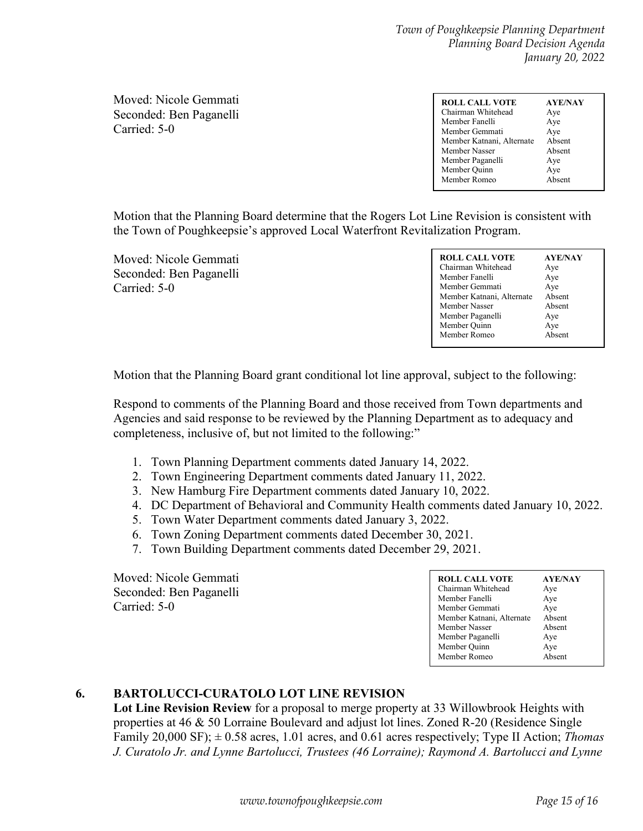Moved: Nicole Gemmati Seconded: Ben Paganelli Carried: 5-0

| <b>ROLL CALL VOTE</b><br>Chairman Whitehead<br>Member Fanelli<br>Member Gemmati<br>Member Katnani, Alternate<br>Member Nasser<br>Member Paganelli<br>Member Quinn | <b>AYE/NAY</b><br>Aye<br>Aye<br>Aye<br>Absent<br>Absent<br>Aye<br>Aye<br>Absent |
|-------------------------------------------------------------------------------------------------------------------------------------------------------------------|---------------------------------------------------------------------------------|
| Member Romeo                                                                                                                                                      |                                                                                 |

Motion that the Planning Board determine that the Rogers Lot Line Revision is consistent with the Town of Poughkeepsie's approved Local Waterfront Revitalization Program.

Moved: Nicole Gemmati Seconded: Ben Paganelli Carried: 5-0

Motion that the Planning Board grant conditional lot line approval, subject to the following:

Respond to comments of the Planning Board and those received from Town departments and Agencies and said response to be reviewed by the Planning Department as to adequacy and completeness, inclusive of, but not limited to the following:"

- 1. Town Planning Department comments dated January 14, 2022.
- 2. Town Engineering Department comments dated January 11, 2022.
- 3. New Hamburg Fire Department comments dated January 10, 2022.
- 4. DC Department of Behavioral and Community Health comments dated January 10, 2022.
- 5. Town Water Department comments dated January 3, 2022.
- 6. Town Zoning Department comments dated December 30, 2021.
- 7. Town Building Department comments dated December 29, 2021.

Moved: Nicole Gemmati Seconded: Ben Paganelli Carried: 5-0

# **6. BARTOLUCCI-CURATOLO LOT LINE REVISION**

**Lot Line Revision Review** for a proposal to merge property at 33 Willowbrook Heights with properties at 46 & 50 Lorraine Boulevard and adjust lot lines. Zoned R-20 (Residence Single Family 20,000 SF); ± 0.58 acres, 1.01 acres, and 0.61 acres respectively; Type II Action; *Thomas J. Curatolo Jr. and Lynne Bartolucci, Trustees (46 Lorraine); Raymond A. Bartolucci and Lynne*